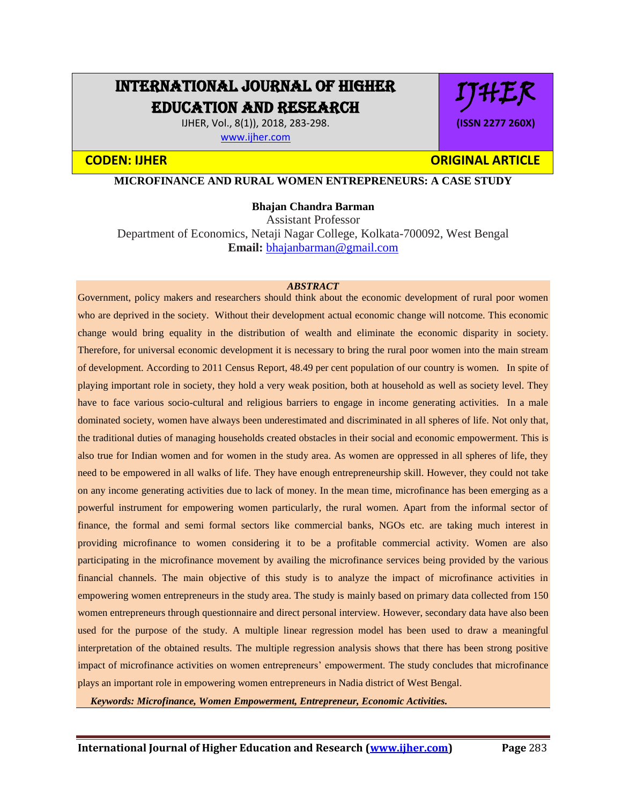# INTERNATIONAL JOURNAL OF HIGHER EDUCATION AND RESEARCH

IJHER, Vol., 8(1)), 2018, 283-298. [www.ijher.com](http://www.ijher.com/)

# **CODEN: IJHER ORIGINAL ARTICLE**

IJHER

**(ISSN 2277 260X)**

**MICROFINANCE AND RURAL WOMEN ENTREPRENEURS: A CASE STUDY** 

#### **Bhajan Chandra Barman**

Assistant Professor Department of Economics, Netaji Nagar College, Kolkata-700092, West Bengal **Email:** [bhajanbarman@gmail.com](mailto:bhajanbarman@gmail.com)

#### *ABSTRACT*

Government, policy makers and researchers should think about the economic development of rural poor women who are deprived in the society. Without their development actual economic change will notcome. This economic change would bring equality in the distribution of wealth and eliminate the economic disparity in society. Therefore, for universal economic development it is necessary to bring the rural poor women into the main stream of development. According to 2011 Census Report, 48.49 per cent population of our country is women. In spite of playing important role in society, they hold a very weak position, both at household as well as society level. They have to face various socio-cultural and religious barriers to engage in income generating activities. In a male dominated society, women have always been underestimated and discriminated in all spheres of life. Not only that, the traditional duties of managing households created obstacles in their social and economic empowerment. This is also true for Indian women and for women in the study area. As women are oppressed in all spheres of life, they need to be empowered in all walks of life. They have enough entrepreneurship skill. However, they could not take on any income generating activities due to lack of money. In the mean time, microfinance has been emerging as a powerful instrument for empowering women particularly, the rural women. Apart from the informal sector of finance, the formal and semi formal sectors like commercial banks, NGOs etc. are taking much interest in providing microfinance to women considering it to be a profitable commercial activity. Women are also participating in the microfinance movement by availing the microfinance services being provided by the various financial channels. The main objective of this study is to analyze the impact of microfinance activities in empowering women entrepreneurs in the study area. The study is mainly based on primary data collected from 150 women entrepreneurs through questionnaire and direct personal interview. However, secondary data have also been used for the purpose of the study. A multiple linear regression model has been used to draw a meaningful interpretation of the obtained results. The multiple regression analysis shows that there has been strong positive impact of microfinance activities on women entrepreneurs' empowerment. The study concludes that microfinance plays an important role in empowering women entrepreneurs in Nadia district of West Bengal.

 *Keywords: Microfinance, Women Empowerment, Entrepreneur, Economic Activities.*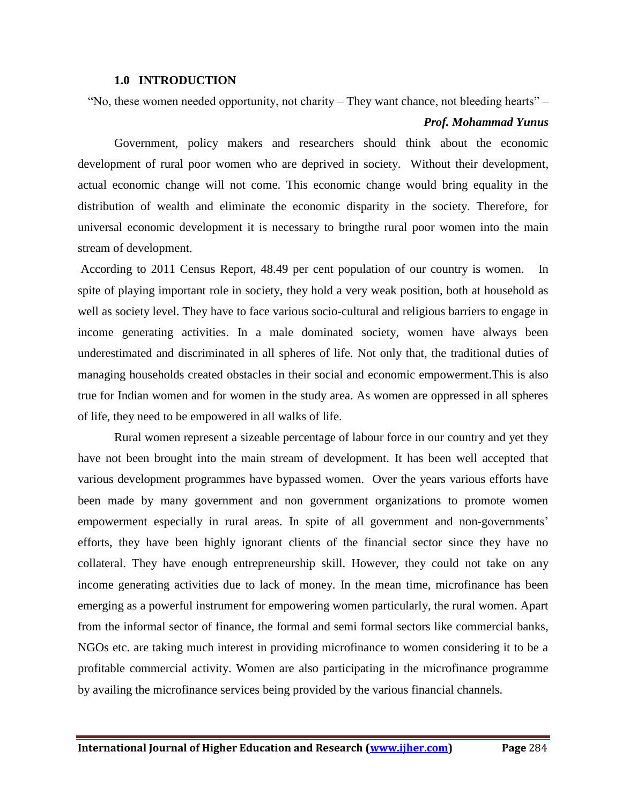#### **1.0 INTRODUCTION**

"No, these women needed opportunity, not charity – They want chance, not bleeding hearts" –

# *Prof. Mohammad Yunus*

Government, policy makers and researchers should think about the economic development of rural poor women who are deprived in society. Without their development, actual economic change will not come. This economic change would bring equality in the distribution of wealth and eliminate the economic disparity in the society. Therefore, for universal economic development it is necessary to bringthe rural poor women into the main stream of development.

According to 2011 Census Report, 48.49 per cent population of our country is women. In spite of playing important role in society, they hold a very weak position, both at household as well as society level. They have to face various socio-cultural and religious barriers to engage in income generating activities. In a male dominated society, women have always been underestimated and discriminated in all spheres of life. Not only that, the traditional duties of managing households created obstacles in their social and economic empowerment.This is also true for Indian women and for women in the study area. As women are oppressed in all spheres of life, they need to be empowered in all walks of life.

Rural women represent a sizeable percentage of labour force in our country and yet they have not been brought into the main stream of development. It has been well accepted that various development programmes have bypassed women. Over the years various efforts have been made by many government and non government organizations to promote women empowerment especially in rural areas. In spite of all government and non-governments' efforts, they have been highly ignorant clients of the financial sector since they have no collateral. They have enough entrepreneurship skill. However, they could not take on any income generating activities due to lack of money. In the mean time, microfinance has been emerging as a powerful instrument for empowering women particularly, the rural women. Apart from the informal sector of finance, the formal and semi formal sectors like commercial banks, NGOs etc. are taking much interest in providing microfinance to women considering it to be a profitable commercial activity. Women are also participating in the microfinance programme by availing the microfinance services being provided by the various financial channels.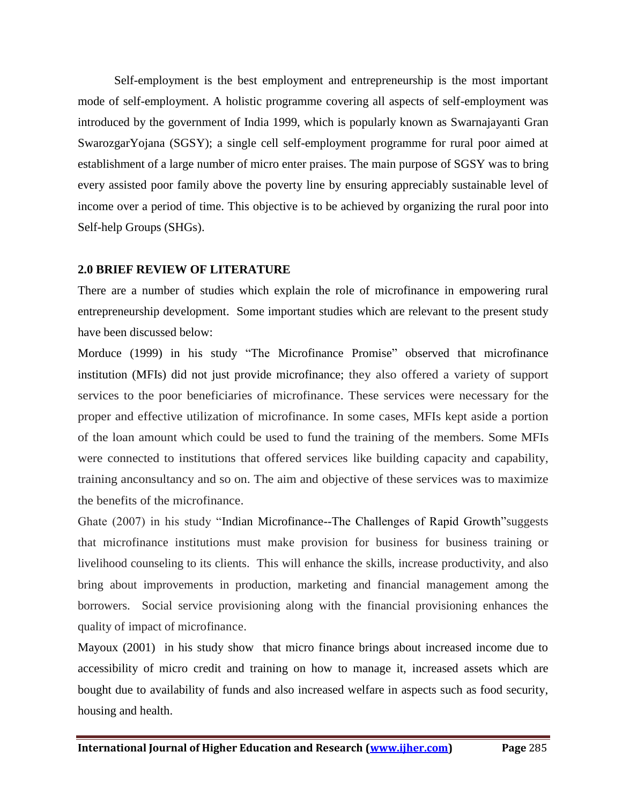Self-employment is the best employment and entrepreneurship is the most important mode of self-employment. A holistic programme covering all aspects of self-employment was introduced by the government of India 1999, which is popularly known as Swarnajayanti Gran SwarozgarYojana (SGSY); a single cell self-employment programme for rural poor aimed at establishment of a large number of micro enter praises. The main purpose of SGSY was to bring every assisted poor family above the poverty line by ensuring appreciably sustainable level of income over a period of time. This objective is to be achieved by organizing the rural poor into Self-help Groups (SHGs).

# **2.0 BRIEF REVIEW OF LITERATURE**

There are a number of studies which explain the role of microfinance in empowering rural entrepreneurship development. Some important studies which are relevant to the present study have been discussed below:

Morduce (1999) in his study "The Microfinance Promise" observed that microfinance institution (MFIs) did not just provide microfinance; they also offered a variety of support services to the poor beneficiaries of microfinance. These services were necessary for the proper and effective utilization of microfinance. In some cases, MFIs kept aside a portion of the loan amount which could be used to fund the training of the members. Some MFIs were connected to institutions that offered services like building capacity and capability, training anconsultancy and so on. The aim and objective of these services was to maximize the benefits of the microfinance.

Ghate (2007) in his study "Indian Microfinance--The Challenges of Rapid Growth"suggests that microfinance institutions must make provision for business for business training or livelihood counseling to its clients. This will enhance the skills, increase productivity, and also bring about improvements in production, marketing and financial management among the borrowers. Social service provisioning along with the financial provisioning enhances the quality of impact of microfinance.

Mayoux (2001) in his study show that micro finance brings about increased income due to accessibility of micro credit and training on how to manage it, increased assets which are bought due to availability of funds and also increased welfare in aspects such as food security, housing and health.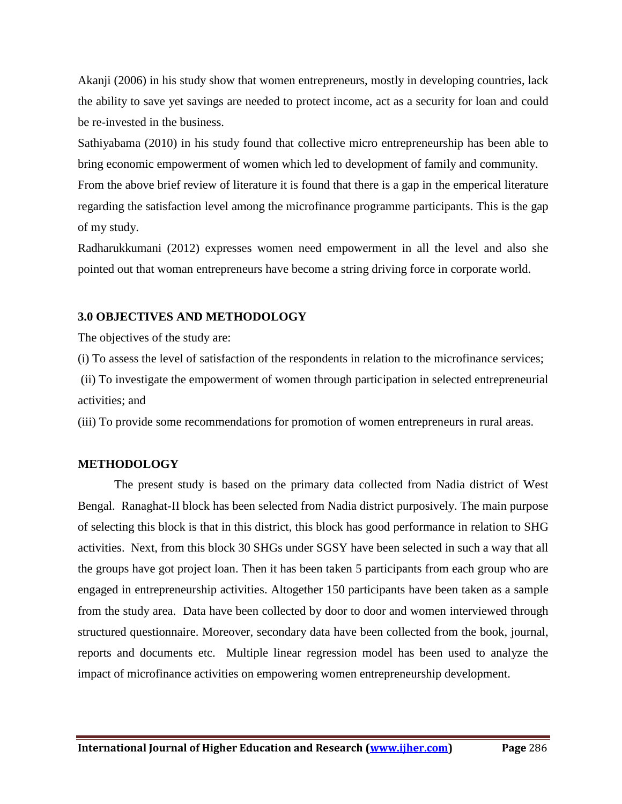Akanji (2006) in his study show that women entrepreneurs, mostly in developing countries, lack the ability to save yet savings are needed to protect income, act as a security for loan and could be re-invested in the business.

Sathiyabama (2010) in his study found that collective micro entrepreneurship has been able to bring economic empowerment of women which led to development of family and community.

From the above brief review of literature it is found that there is a gap in the emperical literature regarding the satisfaction level among the microfinance programme participants. This is the gap of my study.

Radharukkumani (2012) expresses women need empowerment in all the level and also she pointed out that woman entrepreneurs have become a string driving force in corporate world.

# **3.0 OBJECTIVES AND METHODOLOGY**

The objectives of the study are:

(i) To assess the level of satisfaction of the respondents in relation to the microfinance services;

(ii) To investigate the empowerment of women through participation in selected entrepreneurial activities; and

(iii) To provide some recommendations for promotion of women entrepreneurs in rural areas.

# **METHODOLOGY**

The present study is based on the primary data collected from Nadia district of West Bengal. Ranaghat-II block has been selected from Nadia district purposively. The main purpose of selecting this block is that in this district, this block has good performance in relation to SHG activities. Next, from this block 30 SHGs under SGSY have been selected in such a way that all the groups have got project loan. Then it has been taken 5 participants from each group who are engaged in entrepreneurship activities. Altogether 150 participants have been taken as a sample from the study area. Data have been collected by door to door and women interviewed through structured questionnaire. Moreover, secondary data have been collected from the book, journal, reports and documents etc. Multiple linear regression model has been used to analyze the impact of microfinance activities on empowering women entrepreneurship development.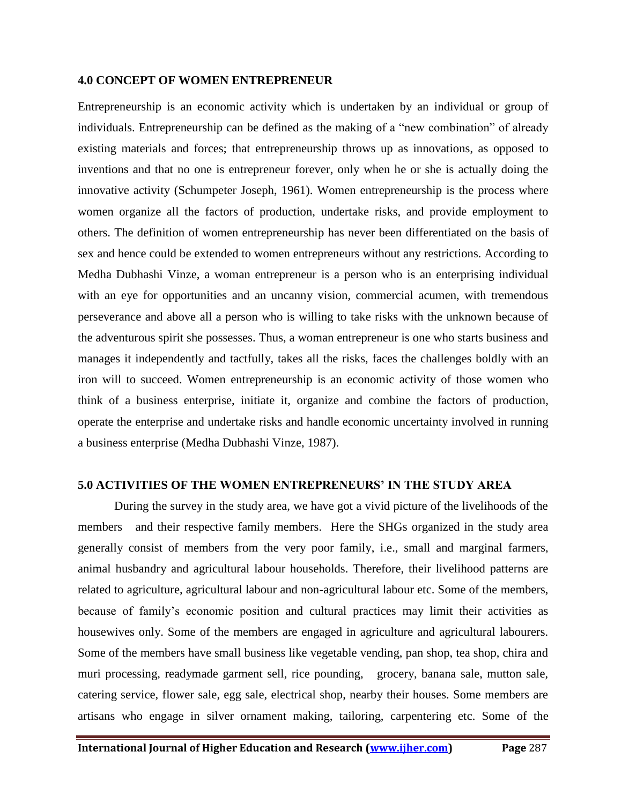### **4.0 CONCEPT OF WOMEN ENTREPRENEUR**

Entrepreneurship is an economic activity which is undertaken by an individual or group of individuals. Entrepreneurship can be defined as the making of a "new combination" of already existing materials and forces; that entrepreneurship throws up as innovations, as opposed to inventions and that no one is entrepreneur forever, only when he or she is actually doing the innovative activity (Schumpeter Joseph, 1961). Women entrepreneurship is the process where women organize all the factors of production, undertake risks, and provide employment to others. The definition of women entrepreneurship has never been differentiated on the basis of sex and hence could be extended to women entrepreneurs without any restrictions. According to Medha Dubhashi Vinze, a woman entrepreneur is a person who is an enterprising individual with an eye for opportunities and an uncanny vision, commercial acumen, with tremendous perseverance and above all a person who is willing to take risks with the unknown because of the adventurous spirit she possesses. Thus, a woman entrepreneur is one who starts business and manages it independently and tactfully, takes all the risks, faces the challenges boldly with an iron will to succeed. Women entrepreneurship is an economic activity of those women who think of a business enterprise, initiate it, organize and combine the factors of production, operate the enterprise and undertake risks and handle economic uncertainty involved in running a business enterprise (Medha Dubhashi Vinze, 1987).

### **5.0 ACTIVITIES OF THE WOMEN ENTREPRENEURS' IN THE STUDY AREA**

During the survey in the study area, we have got a vivid picture of the livelihoods of the members and their respective family members. Here the SHGs organized in the study area generally consist of members from the very poor family, i.e., small and marginal farmers, animal husbandry and agricultural labour households. Therefore, their livelihood patterns are related to agriculture, agricultural labour and non-agricultural labour etc. Some of the members, because of family's economic position and cultural practices may limit their activities as housewives only. Some of the members are engaged in agriculture and agricultural labourers. Some of the members have small business like vegetable vending, pan shop, tea shop, chira and muri processing, readymade garment sell, rice pounding, grocery, banana sale, mutton sale, catering service, flower sale, egg sale, electrical shop, nearby their houses. Some members are artisans who engage in silver ornament making, tailoring, carpentering etc. Some of the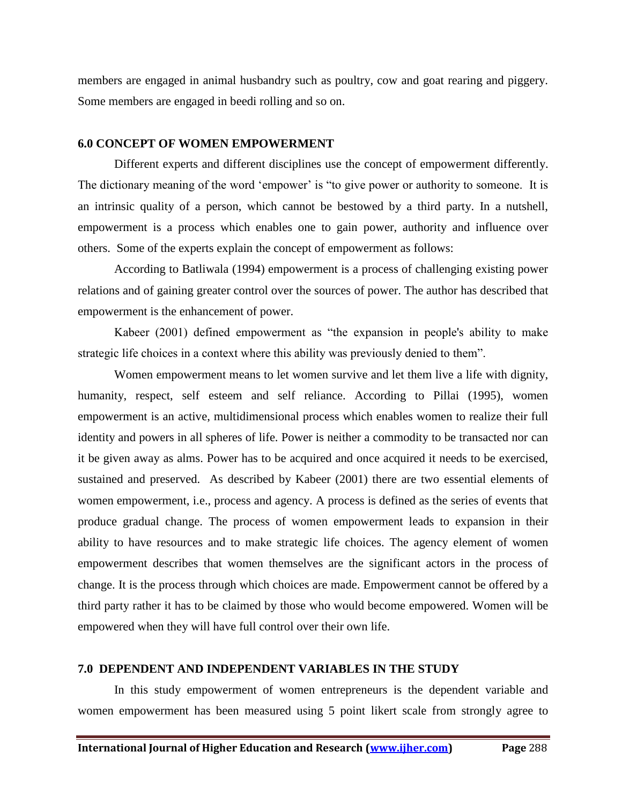members are engaged in animal husbandry such as poultry, cow and goat rearing and piggery. Some members are engaged in beedi rolling and so on.

#### **6.0 CONCEPT OF WOMEN EMPOWERMENT**

Different experts and different disciplines use the concept of empowerment differently. The dictionary meaning of the word 'empower' is "to give power or authority to someone. It is an intrinsic quality of a person, which cannot be bestowed by a third party. In a nutshell, empowerment is a process which enables one to gain power, authority and influence over others. Some of the experts explain the concept of empowerment as follows:

According to Batliwala (1994) empowerment is a process of challenging existing power relations and of gaining greater control over the sources of power. The author has described that empowerment is the enhancement of power.

Kabeer (2001) defined empowerment as "the expansion in people's ability to make strategic life choices in a context where this ability was previously denied to them".

Women empowerment means to let women survive and let them live a life with dignity, humanity, respect, self esteem and self reliance. According to Pillai (1995), women empowerment is an active, multidimensional process which enables women to realize their full identity and powers in all spheres of life. Power is neither a commodity to be transacted nor can it be given away as alms. Power has to be acquired and once acquired it needs to be exercised, sustained and preserved. As described by Kabeer (2001) there are two essential elements of women empowerment, i.e., process and agency. A process is defined as the series of events that produce gradual change. The process of women empowerment leads to expansion in their ability to have resources and to make strategic life choices. The agency element of women empowerment describes that women themselves are the significant actors in the process of change. It is the process through which choices are made. Empowerment cannot be offered by a third party rather it has to be claimed by those who would become empowered. Women will be empowered when they will have full control over their own life.

#### **7.0 DEPENDENT AND INDEPENDENT VARIABLES IN THE STUDY**

In this study empowerment of women entrepreneurs is the dependent variable and women empowerment has been measured using 5 point likert scale from strongly agree to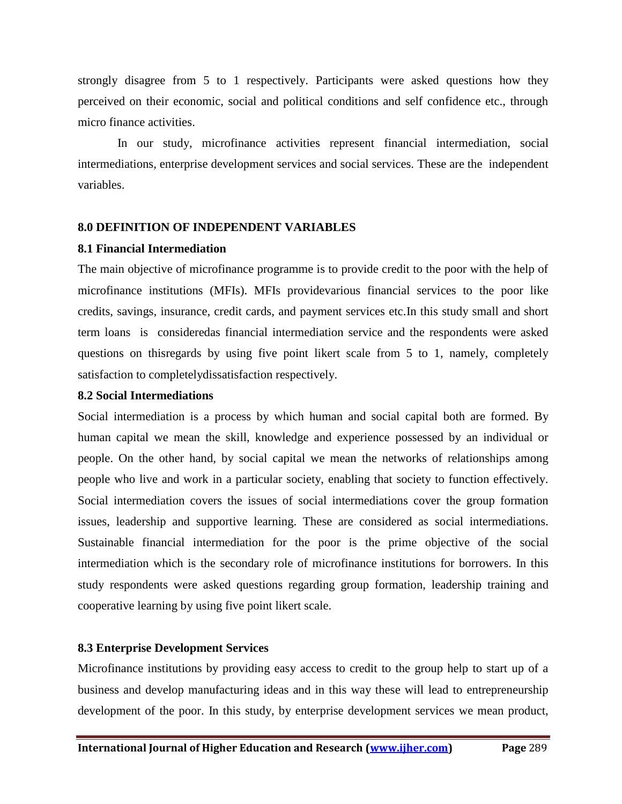strongly disagree from 5 to 1 respectively. Participants were asked questions how they perceived on their economic, social and political conditions and self confidence etc., through micro finance activities.

In our study, microfinance activities represent financial intermediation, social intermediations, enterprise development services and social services. These are the independent variables.

# **8.0 DEFINITION OF INDEPENDENT VARIABLES**

# **8.1 Financial Intermediation**

The main objective of microfinance programme is to provide credit to the poor with the help of microfinance institutions (MFIs). MFIs providevarious financial services to the poor like credits, savings, insurance, credit cards, and payment services etc.In this study small and short term loans is consideredas financial intermediation service and the respondents were asked questions on thisregards by using five point likert scale from 5 to 1, namely, completely satisfaction to completelydissatisfaction respectively.

# **8.2 Social Intermediations**

Social intermediation is a process by which human and social capital both are formed. By human capital we mean the skill, knowledge and experience possessed by an individual or people. On the other hand, by social capital we mean the networks of relationships among people who live and work in a particular society, enabling that society to function effectively. Social intermediation covers the issues of social intermediations cover the group formation issues, leadership and supportive learning. These are considered as social intermediations. Sustainable financial intermediation for the poor is the prime objective of the social intermediation which is the secondary role of microfinance institutions for borrowers. In this study respondents were asked questions regarding group formation, leadership training and cooperative learning by using five point likert scale.

# **8.3 Enterprise Development Services**

Microfinance institutions by providing easy access to credit to the group help to start up of a business and develop manufacturing ideas and in this way these will lead to entrepreneurship development of the poor. In this study, by enterprise development services we mean product,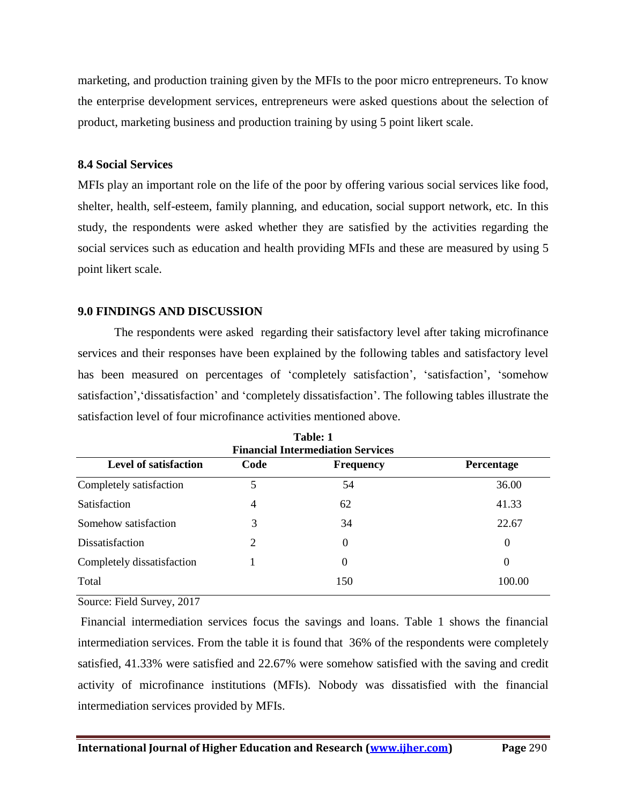marketing, and production training given by the MFIs to the poor micro entrepreneurs. To know the enterprise development services, entrepreneurs were asked questions about the selection of product, marketing business and production training by using 5 point likert scale.

# **8.4 Social Services**

MFIs play an important role on the life of the poor by offering various social services like food, shelter, health, self-esteem, family planning, and education, social support network, etc. In this study, the respondents were asked whether they are satisfied by the activities regarding the social services such as education and health providing MFIs and these are measured by using 5 point likert scale.

# **9.0 FINDINGS AND DISCUSSION**

The respondents were asked regarding their satisfactory level after taking microfinance services and their responses have been explained by the following tables and satisfactory level has been measured on percentages of 'completely satisfaction', 'satisfaction', 'somehow satisfaction','dissatisfaction' and 'completely dissatisfaction'. The following tables illustrate the satisfaction level of four microfinance activities mentioned above.

| <b>Financial Intermediation Services</b>                                      |                       |          |          |  |  |  |
|-------------------------------------------------------------------------------|-----------------------|----------|----------|--|--|--|
| <b>Level of satisfaction</b><br>Code<br><b>Frequency</b><br><b>Percentage</b> |                       |          |          |  |  |  |
| Completely satisfaction                                                       | 5                     | 54       | 36.00    |  |  |  |
| <b>Satisfaction</b>                                                           | $\overline{4}$        | 62       | 41.33    |  |  |  |
| Somehow satisfaction                                                          | 3                     | 34       | 22.67    |  |  |  |
| <b>Dissatisfaction</b>                                                        | $\mathcal{D}_{\cdot}$ | $\Omega$ | $\Omega$ |  |  |  |
| Completely dissatisfaction                                                    |                       | 0        | $\theta$ |  |  |  |
| Total                                                                         |                       | 150      | 100.00   |  |  |  |

**Table: 1**

Source: Field Survey, 2017

Financial intermediation services focus the savings and loans. Table 1 shows the financial intermediation services. From the table it is found that 36% of the respondents were completely satisfied, 41.33% were satisfied and 22.67% were somehow satisfied with the saving and credit activity of microfinance institutions (MFIs). Nobody was dissatisfied with the financial intermediation services provided by MFIs.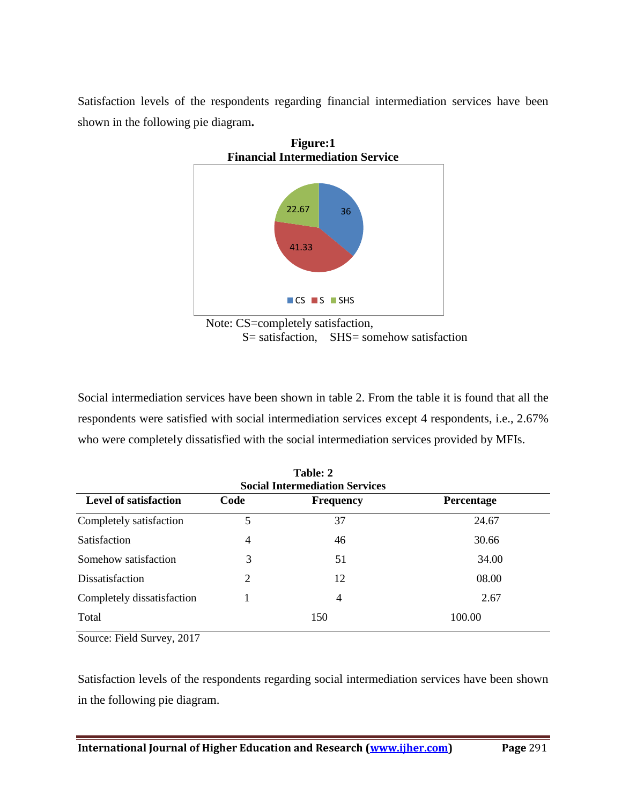Satisfaction levels of the respondents regarding financial intermediation services have been shown in the following pie diagram**.** 



 $S=$  satisfaction,  $SHS=$  somehow satisfaction

Social intermediation services have been shown in table 2. From the table it is found that all the respondents were satisfied with social intermediation services except 4 respondents, i.e., 2.67% who were completely dissatisfied with the social intermediation services provided by MFIs.

| Table: 2<br><b>Social Intermediation Services</b>                             |   |     |        |  |  |
|-------------------------------------------------------------------------------|---|-----|--------|--|--|
| <b>Level of satisfaction</b><br>Code<br><b>Frequency</b><br><b>Percentage</b> |   |     |        |  |  |
| Completely satisfaction                                                       | 5 | 37  | 24.67  |  |  |
| Satisfaction                                                                  | 4 | 46  | 30.66  |  |  |
| Somehow satisfaction                                                          | 3 | 51  | 34.00  |  |  |
| Dissatisfaction                                                               | 2 | 12  | 08.00  |  |  |
| Completely dissatisfaction                                                    |   | 4   | 2.67   |  |  |
| Total                                                                         |   | 150 | 100.00 |  |  |

Source: Field Survey, 2017

Satisfaction levels of the respondents regarding social intermediation services have been shown in the following pie diagram.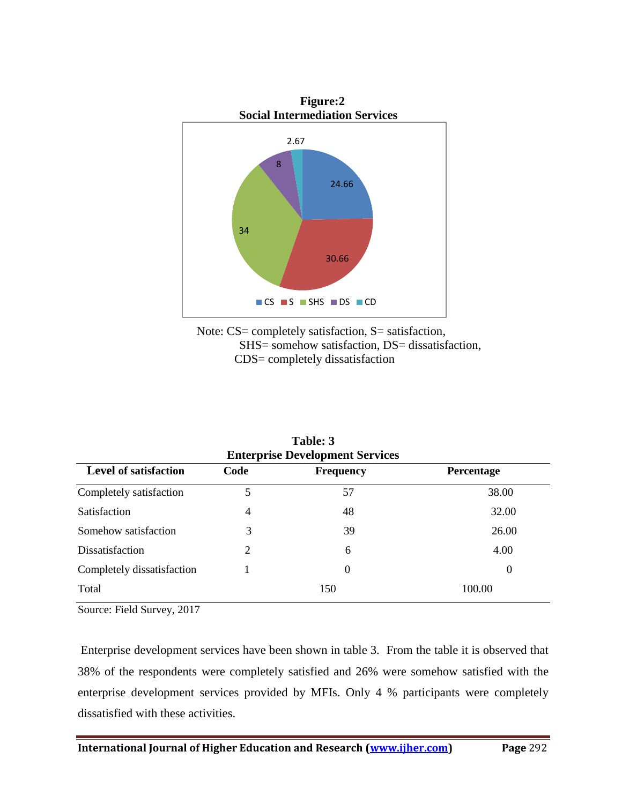



| <b>Level of satisfaction</b><br>Code<br><b>Percentage</b><br><b>Frequency</b> |   |     |          |  |  |  |
|-------------------------------------------------------------------------------|---|-----|----------|--|--|--|
| Completely satisfaction                                                       |   | 57  | 38.00    |  |  |  |
| <b>Satisfaction</b>                                                           | 4 | 48  | 32.00    |  |  |  |
| Somehow satisfaction                                                          | 3 | 39  | 26.00    |  |  |  |
| Dissatisfaction                                                               | 2 | 6   | 4.00     |  |  |  |
| Completely dissatisfaction                                                    |   | 0   | $\theta$ |  |  |  |
| Total                                                                         |   | 150 | 100.00   |  |  |  |

**Table: 3 Enterprise Development Services**

Source: Field Survey, 2017

Enterprise development services have been shown in table 3. From the table it is observed that 38% of the respondents were completely satisfied and 26% were somehow satisfied with the enterprise development services provided by MFIs. Only 4 % participants were completely dissatisfied with these activities.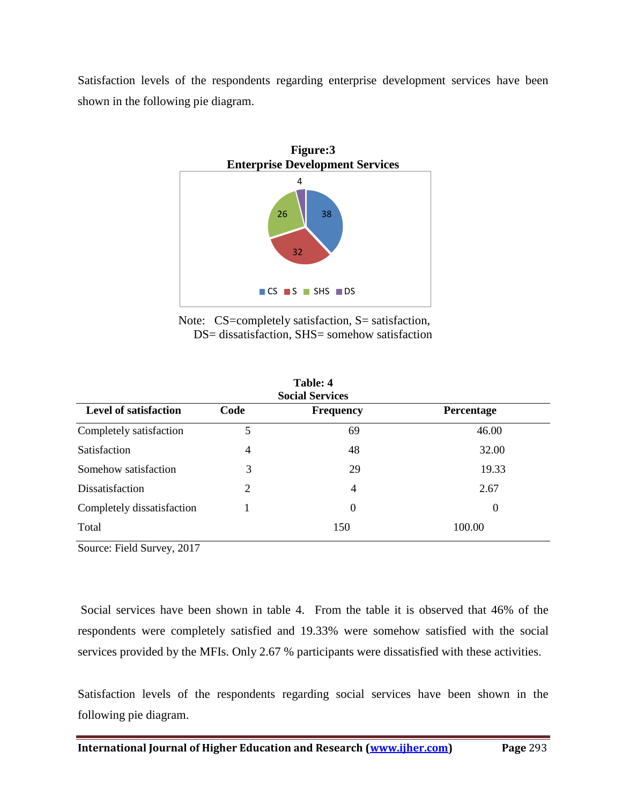Satisfaction levels of the respondents regarding enterprise development services have been shown in the following pie diagram.



Note: CS=completely satisfaction, S= satisfaction, DS= dissatisfaction, SHS= somehow satisfaction

**Table:** 4

| 1 apie: 4<br><b>Social Services</b> |      |                  |                   |  |
|-------------------------------------|------|------------------|-------------------|--|
| <b>Level of satisfaction</b>        | Code | <b>Frequency</b> | <b>Percentage</b> |  |
| Completely satisfaction             | 5    | 69               | 46.00             |  |
| Satisfaction                        | 4    | 48               | 32.00             |  |
| Somehow satisfaction                | 3    | 29               | 19.33             |  |
| Dissatisfaction                     | 2    | 4                | 2.67              |  |
| Completely dissatisfaction          |      | 0                | $\theta$          |  |
| Total                               |      | 150              | 100.00            |  |

Source: Field Survey, 2017

Social services have been shown in table 4. From the table it is observed that 46% of the respondents were completely satisfied and 19.33% were somehow satisfied with the social services provided by the MFIs. Only 2.67 % participants were dissatisfied with these activities.

Satisfaction levels of the respondents regarding social services have been shown in the following pie diagram.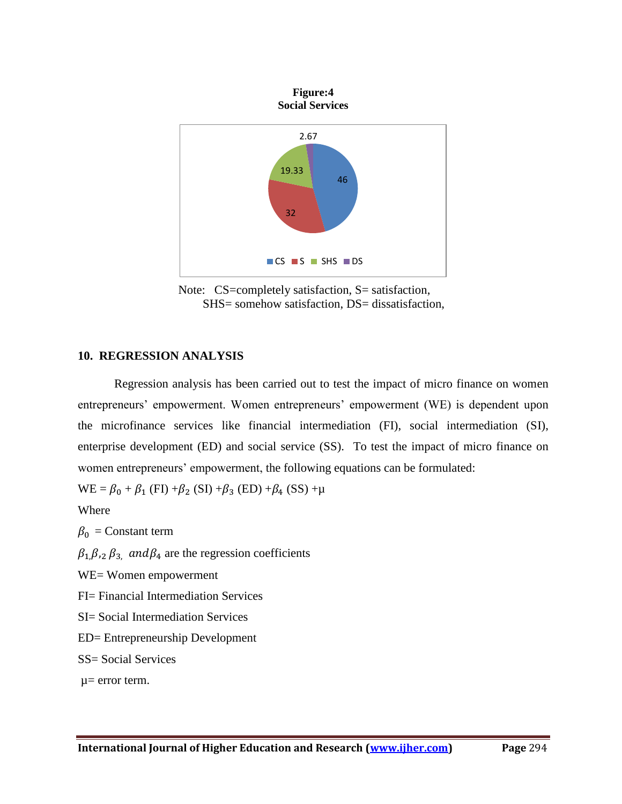

Note: CS=completely satisfaction, S= satisfaction, SHS= somehow satisfaction, DS= dissatisfaction,

# **10. REGRESSION ANALYSIS**

Regression analysis has been carried out to test the impact of micro finance on women entrepreneurs' empowerment. Women entrepreneurs' empowerment (WE) is dependent upon the microfinance services like financial intermediation (FI), social intermediation (SI), enterprise development (ED) and social service (SS). To test the impact of micro finance on women entrepreneurs' empowerment, the following equations can be formulated:

 $WE = \beta_0 + \beta_1$  (FI) + $\beta_2$  (SI) + $\beta_3$  (ED) + $\beta_4$  (SS) + $\mu$ 

Where

 $\beta_0$  = Constant term

 $\beta_1, \beta_2, \beta_3$  and  $\beta_4$  are the regression coefficients

WE= Women empowerment

FI= Financial Intermediation Services

SI= Social Intermediation Services

ED= Entrepreneurship Development

SS= Social Services

µ= error term.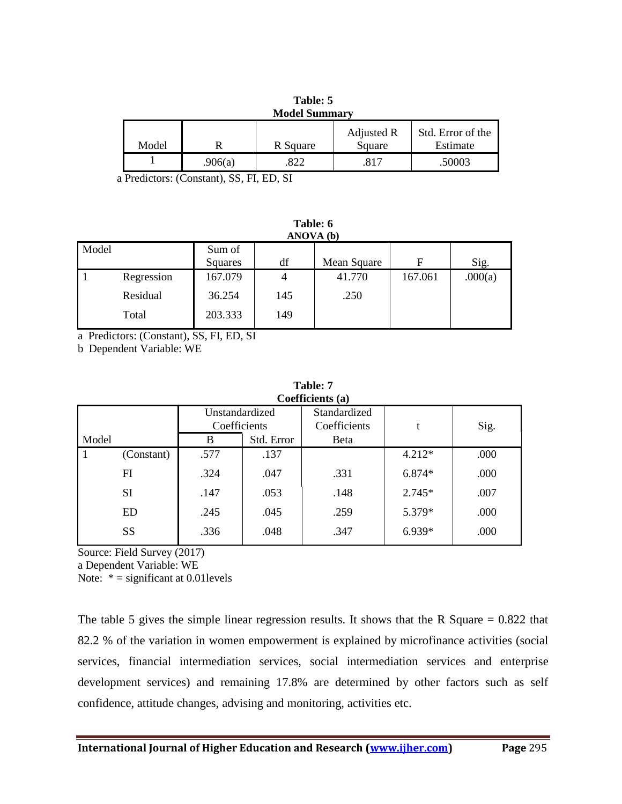|       |         | <b>Model Summary</b> |                      |                               |
|-------|---------|----------------------|----------------------|-------------------------------|
| Model |         | R Square             | Adjusted R<br>Square | Std. Error of the<br>Estimate |
|       | .906(a) | 822                  | .817                 | .50003                        |

**Table: 5**

a Predictors: (Constant), SS, FI, ED, SI

**Table: 6 ANOVA (b)**

| Model |            | Sum of<br>Squares | df  | Mean Square | F       | Sig.    |
|-------|------------|-------------------|-----|-------------|---------|---------|
|       | Regression | 167.079           |     | 41.770      | 167.061 | .000(a) |
|       | Residual   | 36.254            | 145 | .250        |         |         |
|       | Total      | 203.333           | 149 |             |         |         |

a Predictors: (Constant), SS, FI, ED, SI

b Dependent Variable: WE

|       | Coefficients (a) |                                |            |                              |          |      |
|-------|------------------|--------------------------------|------------|------------------------------|----------|------|
|       |                  | Unstandardized<br>Coefficients |            | Standardized<br>Coefficients | t        | Sig. |
| Model |                  | B                              | Std. Error | Beta                         |          |      |
|       | (Constant)       | .577                           | .137       |                              | $4.212*$ | .000 |
|       | FI               | .324                           | .047       | .331                         | $6.874*$ | .000 |
|       | <b>SI</b>        | .147                           | .053       | .148                         | $2.745*$ | .007 |
|       | <b>ED</b>        | .245                           | .045       | .259                         | 5.379*   | .000 |
|       | <b>SS</b>        | .336                           | .048       | .347                         | 6.939*   | .000 |
|       |                  |                                |            |                              |          |      |

| Table: 7         |  |
|------------------|--|
| Coefficients (a) |  |

Source: Field Survey (2017)

a Dependent Variable: WE

Note:  $* =$  significant at 0.01 levels

The table 5 gives the simple linear regression results. It shows that the R Square  $= 0.822$  that 82.2 % of the variation in women empowerment is explained by microfinance activities (social services, financial intermediation services, social intermediation services and enterprise development services) and remaining 17.8% are determined by other factors such as self confidence, attitude changes, advising and monitoring, activities etc.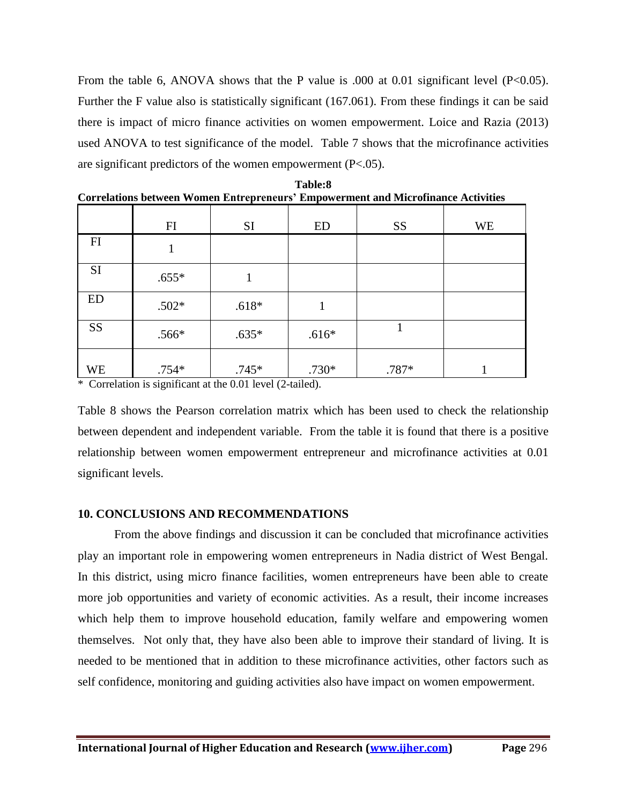From the table 6, ANOVA shows that the P value is .000 at 0.01 significant level (P<0.05). Further the F value also is statistically significant (167.061). From these findings it can be said there is impact of micro finance activities on women empowerment. Loice and Razia (2013) used ANOVA to test significance of the model. Table 7 shows that the microfinance activities are significant predictors of the women empowerment (P<.05).

|                                                                              | FI                                                                    | <b>SI</b> | ED      | <b>SS</b> | <b>WE</b> |
|------------------------------------------------------------------------------|-----------------------------------------------------------------------|-----------|---------|-----------|-----------|
| FI                                                                           |                                                                       |           |         |           |           |
| <b>SI</b>                                                                    | $.655*$                                                               | 1         |         |           |           |
| ED                                                                           | $.502*$                                                               | $.618*$   |         |           |           |
| <b>SS</b>                                                                    | $.566*$                                                               | $.635*$   | $.616*$ | 1         |           |
| <b>WE</b><br>$\mathbf{a}$ and $\mathbf{a}$ and $\mathbf{a}$ and $\mathbf{a}$ | $.754*$<br>$\bullet$ . The set of $\bullet$<br>$\cdot$ $\cdot$ $\sim$ | $.745*$   | $.730*$ | .787*     |           |

| Table:8                                                                                  |  |
|------------------------------------------------------------------------------------------|--|
| <b>Correlations between Women Entrepreneurs' Empowerment and Microfinance Activities</b> |  |

\* Correlation is significant at the 0.01 level (2-tailed).

Table 8 shows the Pearson correlation matrix which has been used to check the relationship between dependent and independent variable. From the table it is found that there is a positive relationship between women empowerment entrepreneur and microfinance activities at 0.01 significant levels.

# **10. CONCLUSIONS AND RECOMMENDATIONS**

From the above findings and discussion it can be concluded that microfinance activities play an important role in empowering women entrepreneurs in Nadia district of West Bengal. In this district, using micro finance facilities, women entrepreneurs have been able to create more job opportunities and variety of economic activities. As a result, their income increases which help them to improve household education, family welfare and empowering women themselves. Not only that, they have also been able to improve their standard of living. It is needed to be mentioned that in addition to these microfinance activities, other factors such as self confidence, monitoring and guiding activities also have impact on women empowerment.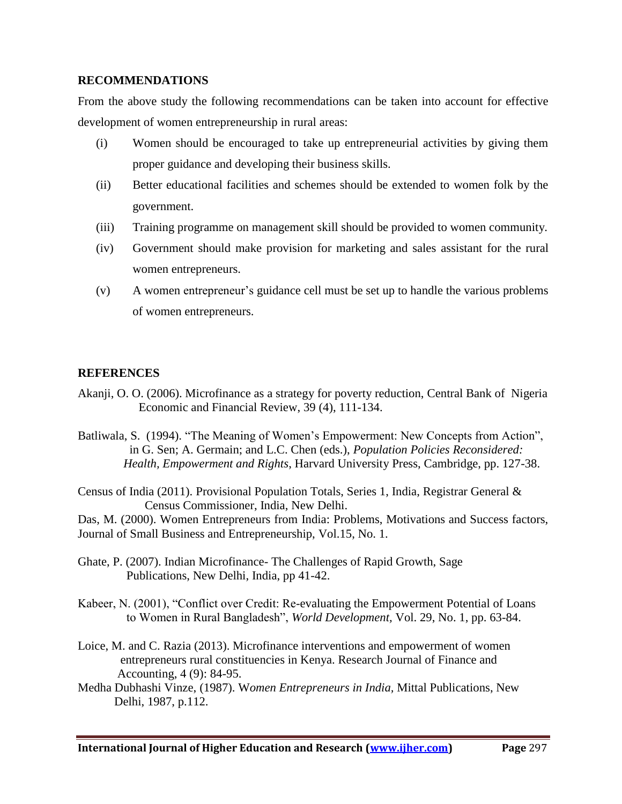# **RECOMMENDATIONS**

From the above study the following recommendations can be taken into account for effective development of women entrepreneurship in rural areas:

- (i) Women should be encouraged to take up entrepreneurial activities by giving them proper guidance and developing their business skills.
- (ii) Better educational facilities and schemes should be extended to women folk by the government.
- (iii) Training programme on management skill should be provided to women community.
- (iv) Government should make provision for marketing and sales assistant for the rural women entrepreneurs.
- (v) A women entrepreneur's guidance cell must be set up to handle the various problems of women entrepreneurs.

# **REFERENCES**

- Akanji, O. O. (2006). Microfinance as a strategy for poverty reduction, Central Bank of Nigeria Economic and Financial Review, 39 (4), 111-134.
- Batliwala, S. (1994). "The Meaning of Women's Empowerment: New Concepts from Action", in G. Sen; A. Germain; and L.C. Chen (eds.), *Population Policies Reconsidered: Health, Empowerment and Rights*, Harvard University Press, Cambridge, pp. 127-38.
- Census of India (2011). Provisional Population Totals, Series 1, India, Registrar General & Census Commissioner, India, New Delhi.

Das, M. (2000). Women Entrepreneurs from India: Problems, Motivations and Success factors, Journal of Small Business and Entrepreneurship, Vol.15, No. 1.

- Ghate, P. (2007). Indian Microfinance- The Challenges of Rapid Growth, Sage Publications, New Delhi, India, pp 41-42.
- Kabeer, N. (2001), "Conflict over Credit: Re-evaluating the Empowerment Potential of Loans to Women in Rural Bangladesh", *World Development,* Vol. 29, No. 1, pp. 63-84.
- Loice, M. and C. Razia (2013). Microfinance interventions and empowerment of women entrepreneurs rural constituencies in Kenya. Research Journal of Finance and Accounting, 4 (9): 84-95.
- Medha Dubhashi Vinze, (1987). W*omen Entrepreneurs in India,* Mittal Publications, New Delhi, 1987, p.112.